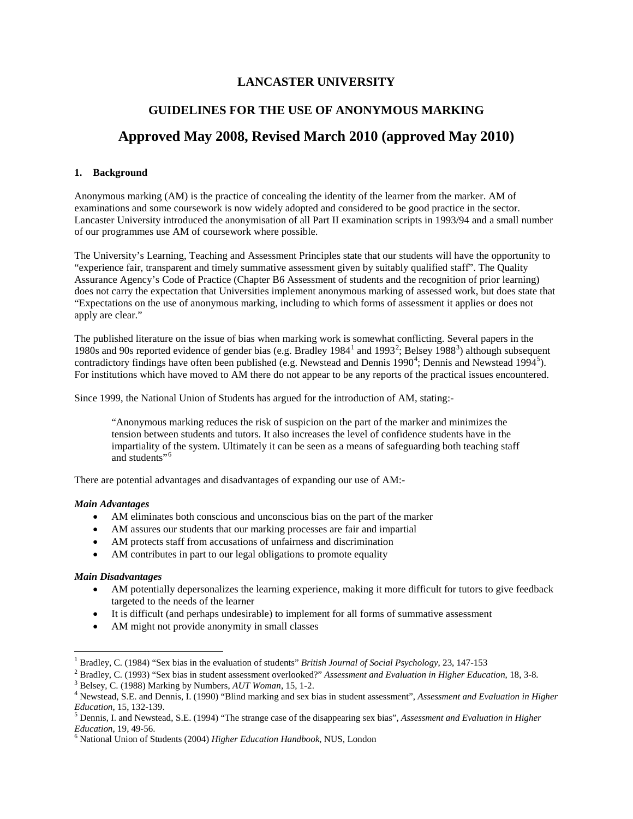### **LANCASTER UNIVERSITY**

# **GUIDELINES FOR THE USE OF ANONYMOUS MARKING**

## **Approved May 2008, Revised March 2010 (approved May 2010)**

#### **1. Background**

Anonymous marking (AM) is the practice of concealing the identity of the learner from the marker. AM of examinations and some coursework is now widely adopted and considered to be good practice in the sector. Lancaster University introduced the anonymisation of all Part II examination scripts in 1993/94 and a small number of our programmes use AM of coursework where possible.

The University's Learning, Teaching and Assessment Principles state that our students will have the opportunity to "experience fair, transparent and timely summative assessment given by suitably qualified staff". The Quality Assurance Agency's Code of Practice (Chapter B6 Assessment of students and the recognition of prior learning) does not carry the expectation that Universities implement anonymous marking of assessed work, but does state that "Expectations on the use of anonymous marking, including to which forms of assessment it applies or does not apply are clear."

The published literature on the issue of bias when marking work is somewhat conflicting. Several papers in the [1](#page-0-0)980s and 90s reported evidence of gender bias (e.g. Bradley 1984<sup>1</sup> and 1993<sup>[2](#page-0-1)</sup>; Belsey 1988<sup>[3](#page-0-2)</sup>) although subsequent contradictory findings have often been published (e.g. Newstead and Dennis 1990<sup>[4](#page-0-3)</sup>; Dennis and Newstead 1994<sup>[5](#page-0-4)</sup>). For institutions which have moved to AM there do not appear to be any reports of the practical issues encountered.

Since 1999, the National Union of Students has argued for the introduction of AM, stating:-

"Anonymous marking reduces the risk of suspicion on the part of the marker and minimizes the tension between students and tutors. It also increases the level of confidence students have in the impartiality of the system. Ultimately it can be seen as a means of safeguarding both teaching staff and students"<sup>[6](#page-0-5)</sup>

There are potential advantages and disadvantages of expanding our use of AM:-

#### *Main Advantages*

- AM eliminates both conscious and unconscious bias on the part of the marker
- AM assures our students that our marking processes are fair and impartial
- AM protects staff from accusations of unfairness and discrimination
- AM contributes in part to our legal obligations to promote equality

#### *Main Disadvantages*

 $\overline{\phantom{a}}$ 

- AM potentially depersonalizes the learning experience, making it more difficult for tutors to give feedback targeted to the needs of the learner
- It is difficult (and perhaps undesirable) to implement for all forms of summative assessment
- AM might not provide anonymity in small classes

<span id="page-0-0"></span><sup>&</sup>lt;sup>1</sup> Bradley, C. (1984) "Sex bias in the evaluation of students" *British Journal of Social Psychology*, 23, 147-153<br><sup>2</sup> Bradlev, C. (1993) "Sex bias in student assessment overlooked?" Assessment and Evaluation in Higher Ed

<span id="page-0-2"></span><span id="page-0-1"></span><sup>&</sup>lt;sup>3</sup> Belsey, C. (1988) Marking by Numbers,  $AUT$  Woman, 15, 1-2.<br><sup>4</sup> Newstead, S.E. and Dennis, I. (1990) "Blind marking and sex bias in student assessment", *Assessment and Evaluation in Higher* 

<span id="page-0-4"></span><span id="page-0-3"></span>*Education*, 15, 132-139.<br><sup>5</sup> Dennis, I. and Newstead, S.E. (1994) "The strange case of the disappearing sex bias", *Assessment and Evaluation in Higher Education*, 19, 49-56.

<span id="page-0-5"></span><sup>&</sup>lt;sup>6</sup> National Union of Students (2004) *Higher Education Handbook*, NUS, London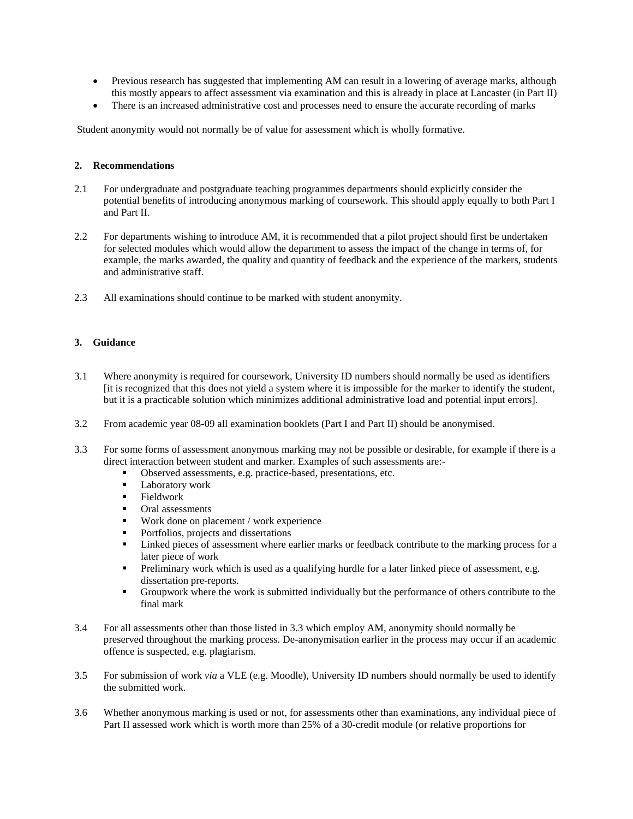- Previous research has suggested that implementing AM can result in a lowering of average marks, although this mostly appears to affect assessment via examination and this is already in place at Lancaster (in Part II)
- There is an increased administrative cost and processes need to ensure the accurate recording of marks

Student anonymity would not normally be of value for assessment which is wholly formative.

#### **2. Recommendations**

- 2.1 For undergraduate and postgraduate teaching programmes departments should explicitly consider the potential benefits of introducing anonymous marking of coursework. This should apply equally to both Part I and Part II.
- 2.2 For departments wishing to introduce AM, it is recommended that a pilot project should first be undertaken for selected modules which would allow the department to assess the impact of the change in terms of, for example, the marks awarded, the quality and quantity of feedback and the experience of the markers, students and administrative staff.
- 2.3 All examinations should continue to be marked with student anonymity.

#### **3. Guidance**

- 3.1 Where anonymity is required for coursework, University ID numbers should normally be used as identifiers [it is recognized that this does not yield a system where it is impossible for the marker to identify the student, but it is a practicable solution which minimizes additional administrative load and potential input errors].
- 3.2 From academic year 08-09 all examination booklets (Part I and Part II) should be anonymised.
- 3.3 For some forms of assessment anonymous marking may not be possible or desirable, for example if there is a direct interaction between student and marker. Examples of such assessments are:-
	- Observed assessments, e.g. practice-based, presentations, etc.
	- **Laboratory work**
	- **Fieldwork**
	- Oral assessments
	- Work done on placement / work experience
	- Portfolios, projects and dissertations
	- Linked pieces of assessment where earlier marks or feedback contribute to the marking process for a later piece of work
	- Preliminary work which is used as a qualifying hurdle for a later linked piece of assessment, e.g. dissertation pre-reports.
	- Groupwork where the work is submitted individually but the performance of others contribute to the final mark
- 3.4 For all assessments other than those listed in 3.3 which employ AM, anonymity should normally be preserved throughout the marking process. De-anonymisation earlier in the process may occur if an academic offence is suspected, e.g. plagiarism.
- 3.5 For submission of work *via* a VLE (e.g. Moodle), University ID numbers should normally be used to identify the submitted work.
- 3.6 Whether anonymous marking is used or not, for assessments other than examinations, any individual piece of Part II assessed work which is worth more than 25% of a 30-credit module (or relative proportions for